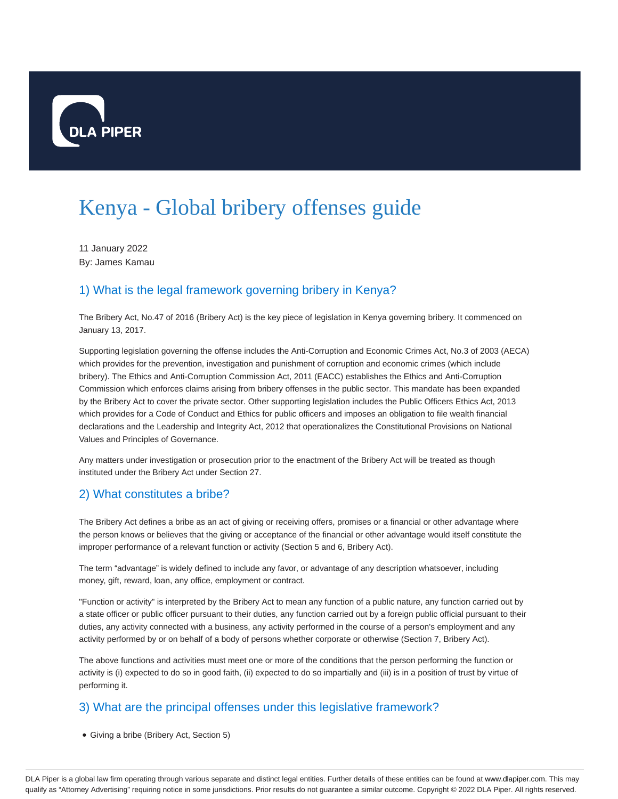

# Kenya - Global bribery offenses guide

11 January 2022 By: James Kamau

# 1) What is the legal framework governing bribery in Kenya?

The Bribery Act, No.47 of 2016 (Bribery Act) is the key piece of legislation in Kenya governing bribery. It commenced on January 13, 2017.

Supporting legislation governing the offense includes the Anti-Corruption and Economic Crimes Act, No.3 of 2003 (AECA) which provides for the prevention, investigation and punishment of corruption and economic crimes (which include bribery). The Ethics and Anti-Corruption Commission Act, 2011 (EACC) establishes the Ethics and Anti-Corruption Commission which enforces claims arising from bribery offenses in the public sector. This mandate has been expanded by the Bribery Act to cover the private sector. Other supporting legislation includes the Public Officers Ethics Act, 2013 which provides for a Code of Conduct and Ethics for public officers and imposes an obligation to file wealth financial declarations and the Leadership and Integrity Act, 2012 that operationalizes the Constitutional Provisions on National Values and Principles of Governance.

Any matters under investigation or prosecution prior to the enactment of the Bribery Act will be treated as though instituted under the Bribery Act under Section 27.

# 2) What constitutes a bribe?

The Bribery Act defines a bribe as an act of giving or receiving offers, promises or a financial or other advantage where the person knows or believes that the giving or acceptance of the financial or other advantage would itself constitute the improper performance of a relevant function or activity (Section 5 and 6, Bribery Act).

The term "advantage" is widely defined to include any favor, or advantage of any description whatsoever, including money, gift, reward, loan, any office, employment or contract.

"Function or activity" is interpreted by the Bribery Act to mean any function of a public nature, any function carried out by a state officer or public officer pursuant to their duties, any function carried out by a foreign public official pursuant to their duties, any activity connected with a business, any activity performed in the course of a person's employment and any activity performed by or on behalf of a body of persons whether corporate or otherwise (Section 7, Bribery Act).

The above functions and activities must meet one or more of the conditions that the person performing the function or activity is (i) expected to do so in good faith, (ii) expected to do so impartially and (iii) is in a position of trust by virtue of performing it.

# 3) What are the principal offenses under this legislative framework?

Giving a bribe (Bribery Act, Section 5)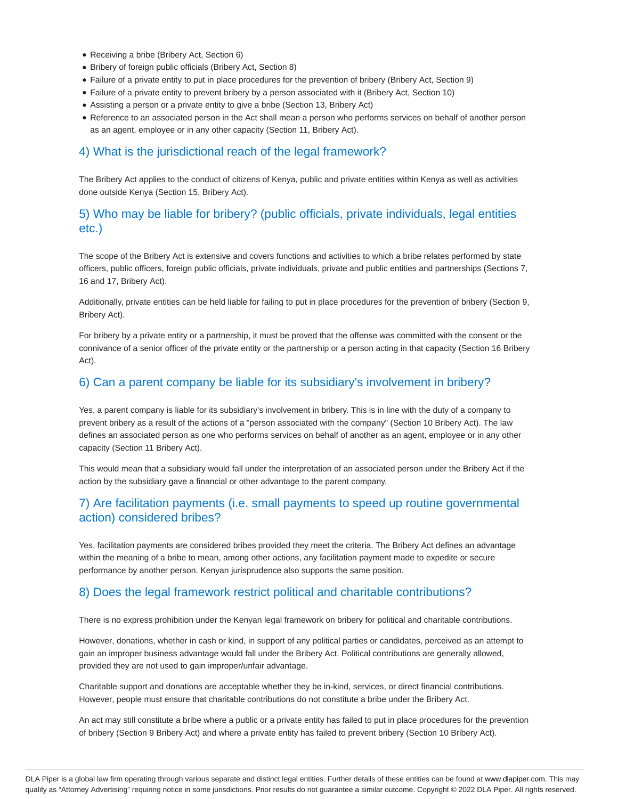- Receiving a bribe (Bribery Act, Section 6)
- Bribery of foreign public officials (Bribery Act, Section 8)
- Failure of a private entity to put in place procedures for the prevention of bribery (Bribery Act, Section 9)
- Failure of a private entity to prevent bribery by a person associated with it (Bribery Act, Section 10)
- Assisting a person or a private entity to give a bribe (Section 13, Bribery Act)
- Reference to an associated person in the Act shall mean a person who performs services on behalf of another person as an agent, employee or in any other capacity (Section 11, Bribery Act).

## 4) What is the jurisdictional reach of the legal framework?

The Bribery Act applies to the conduct of citizens of Kenya, public and private entities within Kenya as well as activities done outside Kenya (Section 15, Bribery Act).

# 5) Who may be liable for bribery? (public officials, private individuals, legal entities etc.)

The scope of the Bribery Act is extensive and covers functions and activities to which a bribe relates performed by state officers, public officers, foreign public officials, private individuals, private and public entities and partnerships (Sections 7, 16 and 17, Bribery Act).

Additionally, private entities can be held liable for failing to put in place procedures for the prevention of bribery (Section 9, Bribery Act).

For bribery by a private entity or a partnership, it must be proved that the offense was committed with the consent or the connivance of a senior officer of the private entity or the partnership or a person acting in that capacity (Section 16 Bribery Act).

## 6) Can a parent company be liable for its subsidiary's involvement in bribery?

Yes, a parent company is liable for its subsidiary's involvement in bribery. This is in line with the duty of a company to prevent bribery as a result of the actions of a "person associated with the company" (Section 10 Bribery Act). The law defines an associated person as one who performs services on behalf of another as an agent, employee or in any other capacity (Section 11 Bribery Act).

This would mean that a subsidiary would fall under the interpretation of an associated person under the Bribery Act if the action by the subsidiary gave a financial or other advantage to the parent company.

## 7) Are facilitation payments (i.e. small payments to speed up routine governmental action) considered bribes?

Yes, facilitation payments are considered bribes provided they meet the criteria. The Bribery Act defines an advantage within the meaning of a bribe to mean, among other actions, any facilitation payment made to expedite or secure performance by another person. Kenyan jurisprudence also supports the same position.

## 8) Does the legal framework restrict political and charitable contributions?

There is no express prohibition under the Kenyan legal framework on bribery for political and charitable contributions.

However, donations, whether in cash or kind, in support of any political parties or candidates, perceived as an attempt to gain an improper business advantage would fall under the Bribery Act. Political contributions are generally allowed, provided they are not used to gain improper/unfair advantage.

Charitable support and donations are acceptable whether they be in-kind, services, or direct financial contributions. However, people must ensure that charitable contributions do not constitute a bribe under the Bribery Act.

An act may still constitute a bribe where a public or a private entity has failed to put in place procedures for the prevention of bribery (Section 9 Bribery Act) and where a private entity has failed to prevent bribery (Section 10 Bribery Act).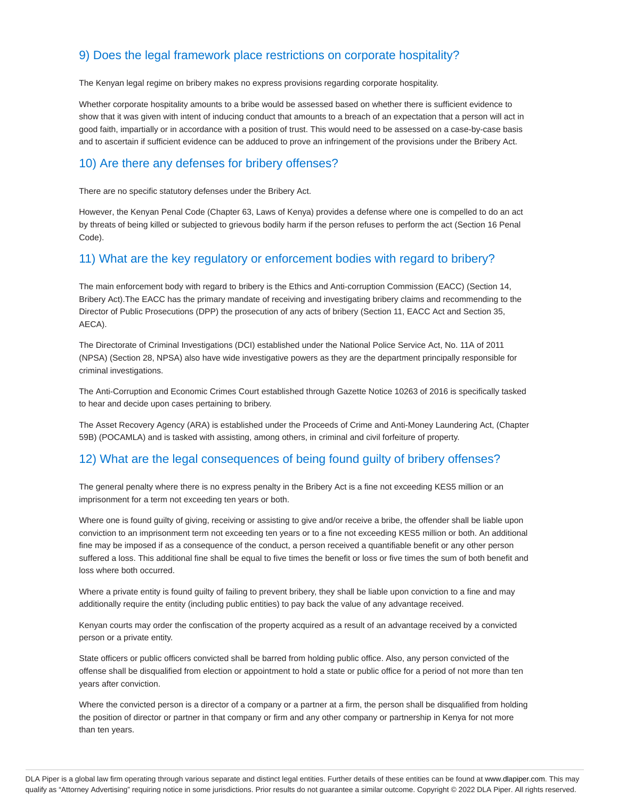# 9) Does the legal framework place restrictions on corporate hospitality?

The Kenyan legal regime on bribery makes no express provisions regarding corporate hospitality.

Whether corporate hospitality amounts to a bribe would be assessed based on whether there is sufficient evidence to show that it was given with intent of inducing conduct that amounts to a breach of an expectation that a person will act in good faith, impartially or in accordance with a position of trust. This would need to be assessed on a case-by-case basis and to ascertain if sufficient evidence can be adduced to prove an infringement of the provisions under the Bribery Act.

#### 10) Are there any defenses for bribery offenses?

There are no specific statutory defenses under the Bribery Act.

However, the Kenyan Penal Code (Chapter 63, Laws of Kenya) provides a defense where one is compelled to do an act by threats of being killed or subjected to grievous bodily harm if the person refuses to perform the act (Section 16 Penal Code).

#### 11) What are the key regulatory or enforcement bodies with regard to bribery?

The main enforcement body with regard to bribery is the Ethics and Anti-corruption Commission (EACC) (Section 14, Bribery Act).The EACC has the primary mandate of receiving and investigating bribery claims and recommending to the Director of Public Prosecutions (DPP) the prosecution of any acts of bribery (Section 11, EACC Act and Section 35, AECA).

The Directorate of Criminal Investigations (DCI) established under the National Police Service Act, No. 11A of 2011 (NPSA) (Section 28, NPSA) also have wide investigative powers as they are the department principally responsible for criminal investigations.

The Anti-Corruption and Economic Crimes Court established through Gazette Notice 10263 of 2016 is specifically tasked to hear and decide upon cases pertaining to bribery.

The Asset Recovery Agency (ARA) is established under the Proceeds of Crime and Anti-Money Laundering Act, (Chapter 59B) (POCAMLA) and is tasked with assisting, among others, in criminal and civil forfeiture of property.

## 12) What are the legal consequences of being found guilty of bribery offenses?

The general penalty where there is no express penalty in the Bribery Act is a fine not exceeding KES5 million or an imprisonment for a term not exceeding ten years or both.

Where one is found guilty of giving, receiving or assisting to give and/or receive a bribe, the offender shall be liable upon conviction to an imprisonment term not exceeding ten years or to a fine not exceeding KES5 million or both. An additional fine may be imposed if as a consequence of the conduct, a person received a quantifiable benefit or any other person suffered a loss. This additional fine shall be equal to five times the benefit or loss or five times the sum of both benefit and loss where both occurred.

Where a private entity is found guilty of failing to prevent bribery, they shall be liable upon conviction to a fine and may additionally require the entity (including public entities) to pay back the value of any advantage received.

Kenyan courts may order the confiscation of the property acquired as a result of an advantage received by a convicted person or a private entity.

State officers or public officers convicted shall be barred from holding public office. Also, any person convicted of the offense shall be disqualified from election or appointment to hold a state or public office for a period of not more than ten years after conviction.

Where the convicted person is a director of a company or a partner at a firm, the person shall be disqualified from holding the position of director or partner in that company or firm and any other company or partnership in Kenya for not more than ten years.